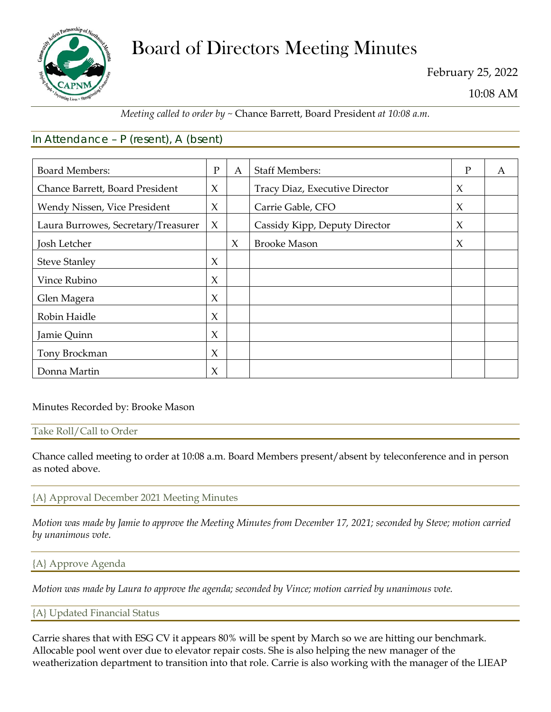

# Board of Directors Meeting Minutes

February 25, 2022

10:08 AM

# *Meeting called to order by ~* Chance Barrett, Board President *at 10:08 a.m.*

# In Attendance – P (resent), A (bsent)

| <b>Board Members:</b>               | $\mathbf{P}$ | $\mathbf{A}$ | <b>Staff Members:</b>          | P      | A |
|-------------------------------------|--------------|--------------|--------------------------------|--------|---|
| Chance Barrett, Board President     | $\chi$       |              | Tracy Diaz, Executive Director | X      |   |
| Wendy Nissen, Vice President        | $\chi$       |              | Carrie Gable, CFO              | $\chi$ |   |
| Laura Burrowes, Secretary/Treasurer | $\chi$       |              | Cassidy Kipp, Deputy Director  | $\chi$ |   |
| Josh Letcher                        |              | $\chi$       | <b>Brooke Mason</b>            | $\chi$ |   |
| <b>Steve Stanley</b>                | $\chi$       |              |                                |        |   |
| Vince Rubino                        | $\chi$       |              |                                |        |   |
| Glen Magera                         | $\chi$       |              |                                |        |   |
| Robin Haidle                        | $\chi$       |              |                                |        |   |
| Jamie Quinn                         | $\chi$       |              |                                |        |   |
| Tony Brockman                       | $\chi$       |              |                                |        |   |
| Donna Martin                        | $\chi$       |              |                                |        |   |

#### Minutes Recorded by: Brooke Mason

#### Take Roll/Call to Order

Chance called meeting to order at 10:08 a.m. Board Members present/absent by teleconference and in person as noted above.

#### {A} Approval December 2021 Meeting Minutes

*Motion was made by Jamie to approve the Meeting Minutes from December 17, 2021; seconded by Steve; motion carried by unanimous vote.*

#### {A} Approve Agenda

*Motion was made by Laura to approve the agenda; seconded by Vince; motion carried by unanimous vote.*

{A} Updated Financial Status

Carrie shares that with ESG CV it appears 80% will be spent by March so we are hitting our benchmark. Allocable pool went over due to elevator repair costs. She is also helping the new manager of the weatherization department to transition into that role. Carrie is also working with the manager of the LIEAP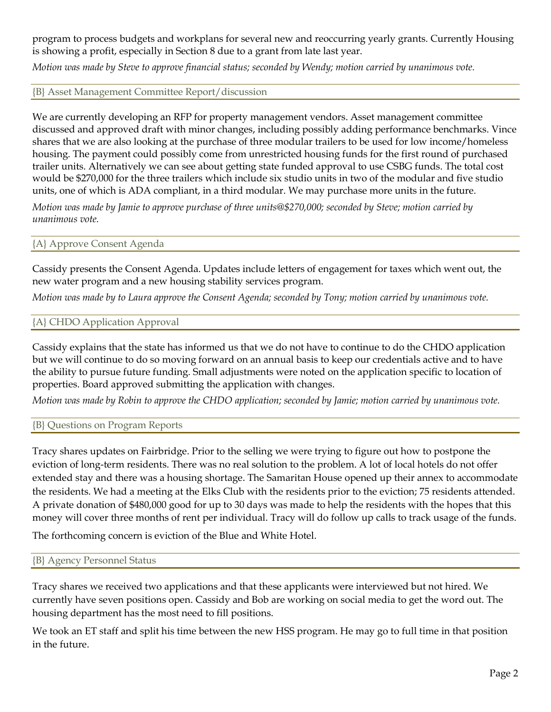program to process budgets and workplans for several new and reoccurring yearly grants. Currently Housing is showing a profit, especially in Section 8 due to a grant from late last year.

*Motion was made by Steve to approve financial status; seconded by Wendy; motion carried by unanimous vote.*

{B} Asset Management Committee Report/discussion

We are currently developing an RFP for property management vendors. Asset management committee discussed and approved draft with minor changes, including possibly adding performance benchmarks. Vince shares that we are also looking at the purchase of three modular trailers to be used for low income/homeless housing. The payment could possibly come from unrestricted housing funds for the first round of purchased trailer units. Alternatively we can see about getting state funded approval to use CSBG funds. The total cost would be \$270,000 for the three trailers which include six studio units in two of the modular and five studio units, one of which is ADA compliant, in a third modular. We may purchase more units in the future.

*Motion was made by Jamie to approve purchase of three units@\$270,000; seconded by Steve; motion carried by unanimous vote.*

### {A} Approve Consent Agenda

Cassidy presents the Consent Agenda. Updates include letters of engagement for taxes which went out, the new water program and a new housing stability services program.

*Motion was made by to Laura approve the Consent Agenda; seconded by Tony; motion carried by unanimous vote.*

## {A} CHDO Application Approval

Cassidy explains that the state has informed us that we do not have to continue to do the CHDO application but we will continue to do so moving forward on an annual basis to keep our credentials active and to have the ability to pursue future funding. Small adjustments were noted on the application specific to location of properties. Board approved submitting the application with changes.

*Motion was made by Robin to approve the CHDO application; seconded by Jamie; motion carried by unanimous vote.*

#### {B} Questions on Program Reports

Tracy shares updates on Fairbridge. Prior to the selling we were trying to figure out how to postpone the eviction of long-term residents. There was no real solution to the problem. A lot of local hotels do not offer extended stay and there was a housing shortage. The Samaritan House opened up their annex to accommodate the residents. We had a meeting at the Elks Club with the residents prior to the eviction; 75 residents attended. A private donation of \$480,000 good for up to 30 days was made to help the residents with the hopes that this money will cover three months of rent per individual. Tracy will do follow up calls to track usage of the funds.

The forthcoming concern is eviction of the Blue and White Hotel.

#### {B} Agency Personnel Status

Tracy shares we received two applications and that these applicants were interviewed but not hired. We currently have seven positions open. Cassidy and Bob are working on social media to get the word out. The housing department has the most need to fill positions.

We took an ET staff and split his time between the new HSS program. He may go to full time in that position in the future.